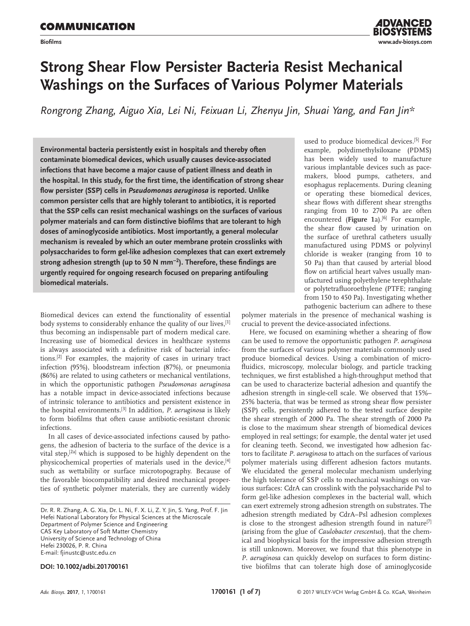

# **Strong Shear Flow Persister Bacteria Resist Mechanical Washings on the Surfaces of Various Polymer Materials**

*Rongrong Zhang, Aiguo Xia, Lei Ni, Feixuan Li, Zhenyu Jin, Shuai Yang, and Fan Jin\**

**Environmental bacteria persistently exist in hospitals and thereby often contaminate biomedical devices, which usually causes device-associated infections that have become a major cause of patient illness and death in the hospital. In this study, for the first time, the identification of strong shear flow persister (SSP) cells in** *Pseudomonas aeruginosa* **is reported. Unlike common persister cells that are highly tolerant to antibiotics, it is reported that the SSP cells can resist mechanical washings on the surfaces of various polymer materials and can form distinctive biofilms that are tolerant to high doses of aminoglycoside antibiotics. Most importantly, a general molecular mechanism is revealed by which an outer membrane protein crosslinks with polysaccharides to form gel-like adhesion complexes that can exert extremely strong adhesion strength (up to 50 N mm<sup>−</sup><sup>2</sup> ). Therefore, these findings are urgently required for ongoing research focused on preparing antifouling biomedical materials.**

Biomedical devices can extend the functionality of essential body systems to considerably enhance the quality of our lives, [1] thus becoming an indispensable part of modern medical care. Increasing use of biomedical devices in healthcare systems is always associated with a definitive risk of bacterial infections.[2] For examples, the majority of cases in urinary tract infection (95%), bloodstream infection (87%), or pneumonia (86%) are related to using catheters or mechanical ventilations, in which the opportunistic pathogen *Pseudomonas aeruginosa* has a notable impact in device-associated infections because of intrinsic tolerance to antibiotics and persistent existence in the hospital environments.[3] In addition, *P. aeruginosa* is likely to form biofilms that often cause antibiotic-resistant chronic infections.

In all cases of device-associated infections caused by pathogens, the adhesion of bacteria to the surface of the device is a vital step,[2a] which is supposed to be highly dependent on the physicochemical properties of materials used in the device,<sup>[4]</sup> such as wettability or surface microtopography. Because of the favorable biocompatibility and desired mechanical properties of synthetic polymer materials, they are currently widely

Dr. R. R. Zhang, A. G. Xia, Dr. L. Ni, F. X. Li, Z. Y. Jin, S. Yang, Prof. F. Jin Hefei National Laboratory for Physical Sciences at the Microscale Department of Polymer Science and Engineering CAS Key Laboratory of Soft Matter Chemistry University of Science and Technology of China Hefei 230026, P. R. China E-mail: fjinustc@ustc.edu.cn

**DOI: 10.1002/adbi.201700161**

used to produce biomedical devices.[5] For example, polydimethylsiloxane (PDMS) has been widely used to manufacture various implantable devices such as pacemakers, blood pumps, catheters, and esophagus replacements. During cleaning or operating these biomedical devices, shear flows with different shear strengths ranging from 10 to 2700 Pa are often encountered (**Figure 1**a).[6] For example, the shear flow caused by urination on the surface of urethral catheters usually manufactured using PDMS or polyvinyl chloride is weaker (ranging from 10 to 50 Pa) than that caused by arterial blood flow on artificial heart valves usually manufactured using polyethylene terephthalate or polytetrafluoroethylene (PTFE; ranging from 150 to 450 Pa). Investigating whether pathogenic bacterium can adhere to these

polymer materials in the presence of mechanical washing is crucial to prevent the device-associated infections.

Here, we focused on examining whether a shearing of flow can be used to remove the opportunistic pathogen *P. aeruginosa* from the surfaces of various polymer materials commonly used produce biomedical devices. Using a combination of microfluidics, microscopy, molecular biology, and particle tracking techniques, we first established a high-throughput method that can be used to characterize bacterial adhesion and quantify the adhesion strength in single-cell scale. We observed that 15%– 25% bacteria, that was be termed as strong shear flow persister (SSP) cells, persistently adhered to the tested surface despite the shear strength of 2000 Pa. The shear strength of 2000 Pa is close to the maximum shear strength of biomedical devices employed in real settings; for example, the dental water jet used for cleaning teeth. Second, we investigated how adhesion factors to facilitate *P. aeruginosa* to attach on the surfaces of various polymer materials using different adhesion factors mutants. We elucidated the general molecular mechanism underlying the high tolerance of SSP cells to mechanical washings on various surfaces: CdrA can crosslink with the polysaccharide Psl to form gel-like adhesion complexes in the bacterial wall, which can exert extremely strong adhesion strength on substrates. The adhesion strength mediated by CdrA–Psl adhesion complexes is close to the strongest adhesion strength found in nature<sup>[7]</sup> (arising from the glue of *Caulobacter crescentus*), that the chemical and biophysical basis for the impressive adhesion strength is still unknown. Moreover, we found that this phenotype in *P. aeruginosa* can quickly develop on surfaces to form distinctive biofilms that can tolerate high dose of aminoglycoside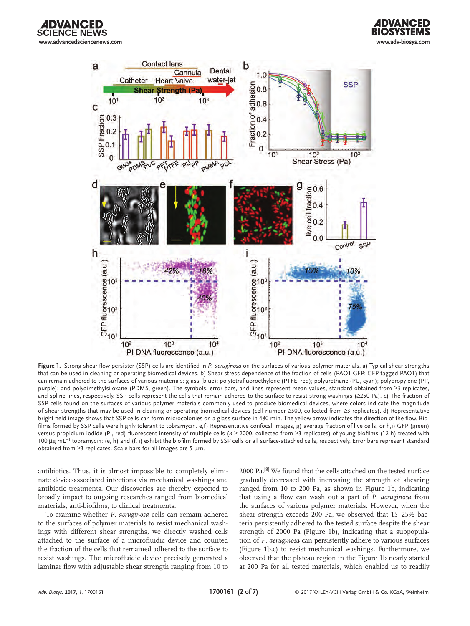**www.advancedsciencenews.com www.adv-biosys.com**

∶F NFWS



**Figure 1.** Strong shear flow persister (SSP) cells are identified in *P. aeruginosa* on the surfaces of various polymer materials. a) Typical shear strengths that can be used in cleaning or operating biomedical devices. b) Shear stress dependence of the fraction of cells (PAO1-GFP: GFP tagged PAO1) that can remain adhered to the surfaces of various materials: glass (blue); polytetrafluoroethylene (PTFE, red); polyurethane (PU, cyan); polypropylene (PP, purple); and polydimethylsiloxane (PDMS, green). The symbols, error bars, and lines represent mean values, standard obtained from ≥3 replicates, and spline lines, respectively. SSP cells represent the cells that remain adhered to the surface to resist strong washings (≥250 Pa). c) The fraction of SSP cells found on the surfaces of various polymer materials commonly used to produce biomedical devices, where colors indicate the magnitude of shear strengths that may be used in cleaning or operating biomedical devices (cell number ≥500, collected from ≥3 replicates). d) Representative bright-field image shows that SSP cells can form microcolonies on a glass surface in 480 min. The yellow arrow indicates the direction of the flow. Biofilms formed by SSP cells were highly tolerant to tobramycin. e,f) Representative confocal images, g) average fraction of live cells, or h,i) GFP (green) versus propidium iodide (PI, red) fluorescent intensity of multiple cells (*n* ≥ 2000, collected from ≥3 replicates) of young biofilms (12 h) treated with 100 µg mL−<sup>1</sup> tobramycin: (e, h) and (f, i) exhibit the biofilm formed by SSP cells or all surface-attached cells, respectively. Error bars represent standard obtained from ≥3 replicates. Scale bars for all images are 5 µm.

antibiotics. Thus, it is almost impossible to completely eliminate device-associated infections via mechanical washings and antibiotic treatments. Our discoveries are thereby expected to broadly impact to ongoing researches ranged from biomedical materials, anti-biofilms, to clinical treatments.

To examine whether *P. aeruginosa* cells can remain adhered to the surfaces of polymer materials to resist mechanical washings with different shear strengths, we directly washed cells attached to the surface of a microfluidic device and counted the fraction of the cells that remained adhered to the surface to resist washings. The microfluidic device precisely generated a laminar flow with adjustable shear strength ranging from 10 to

2000 Pa.[8] We found that the cells attached on the tested surface gradually decreased with increasing the strength of shearing ranged from 10 to 200 Pa, as shown in Figure 1b, indicating that using a flow can wash out a part of *P. aeruginosa* from the surfaces of various polymer materials. However, when the shear strength exceeds 200 Pa, we observed that 15–25% bacteria persistently adhered to the tested surface despite the shear strength of 2000 Pa (Figure 1b), indicating that a subpopulation of *P. aeruginosa* can persistently adhere to various surfaces (Figure 1b,c) to resist mechanical washings. Furthermore, we observed that the plateau region in the Figure 1b nearly started at 200 Pa for all tested materials, which enabled us to readily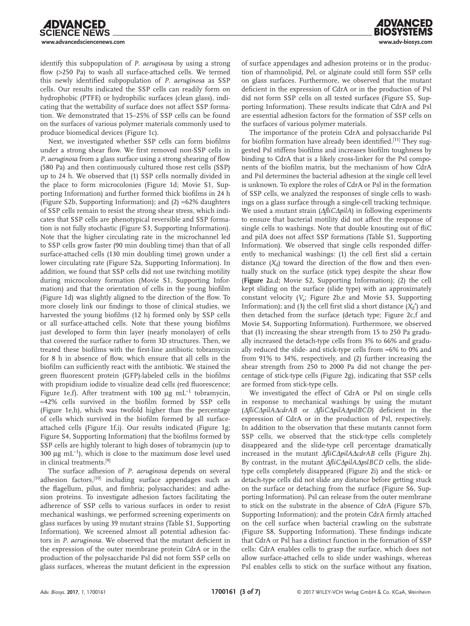identify this subpopulation of *P. aeruginosa* by using a strong flow (>250 Pa) to wash all surface-attached cells. We termed this newly identified subpopulation of *P. aeruginosa* as SSP cells. Our results indicated the SSP cells can readily form on hydrophobic (PTFE) or hydrophilic surfaces (clean glass), indicating that the wettability of surface does not affect SSP formation. We demonstrated that 15–25% of SSP cells can be found on the surfaces of various polymer materials commonly used to produce biomedical devices (Figure 1c).

Next, we investigated whether SSP cells can form biofilms under a strong shear flow. We first removed non-SSP cells in *P. aeruginosa* from a glass surface using a strong shearing of flow (580 Pa) and then continuously cultured those rest cells (SSP) up to 24 h. We observed that (1) SSP cells normally divided in the place to form microcolonies (Figure 1d; Movie S1, Supporting Information) and further formed thick biofilms in 24 h (Figure S2b, Supporting Information); and (2)  $\approx$ 62% daughters of SSP cells remain to resist the strong shear stress, which indicates that SSP cells are phenotypical reversible and SSP formation is not fully stochastic (Figure S3, Supporting Information). Note that the higher circulating rate in the microchannel led to SSP cells grow faster (90 min doubling time) than that of all surface-attached cells (130 min doubling time) grown under a lower circulating rate (Figure S2a, Supporting Information). In addition, we found that SSP cells did not use twitching motility during microcolony formation (Movie S1, Supporting Information) and that the orientation of cells in the young biofilm (Figure 1d) was slightly aligned to the direction of the flow. To more closely link our findings to those of clinical studies, we harvested the young biofilms (12 h) formed only by SSP cells or all surface-attached cells. Note that these young biofilms just developed to form thin layer (nearly monolayer) of cells that covered the surface rather to form 3D structures. Then, we treated these biofilms with the first-line antibiotic tobramycin for 8 h in absence of flow, which ensure that all cells in the biofilm can sufficiently react with the antibiotic. We stained the green fluorescent protein (GFP)-labeled cells in the biofilms with propidium iodide to visualize dead cells (red fluorescence; Figure 1e,f). After treatment with 100 µg mL<sup>−</sup>1 tobramycin, ≈42% cells survived in the biofilm formed by SSP cells (Figure 1e,h), which was twofold higher than the percentage of cells which survived in the biofilm formed by all surfaceattached cells (Figure 1f,i). Our results indicated (Figure 1g; Figure S4, Supporting Information) that the biofilms formed by SSP cells are highly tolerant to high doses of tobramycin (up to 300 µg mL−<sup>1</sup> ), which is close to the maximum dose level used in clinical treatments.[9]

The surface adhesion of *P. aeruginosa* depends on several adhesion factors,<sup>[10]</sup> including surface appendages such as the flagellum, pilus, and fimbria; polysaccharides; and adhesion proteins. To investigate adhesion factors facilitating the adherence of SSP cells to various surfaces in order to resist mechanical washings, we performed screening experiments on glass surfaces by using 39 mutant strains (Table S1, Supporting Information). We screened almost all potential adhesion factors in *P. aeruginosa*. We observed that the mutant deficient in the expression of the outer membrane protein CdrA or in the production of the polysaccharide Psl did not form SSP cells on glass surfaces, whereas the mutant deficient in the expression of surface appendages and adhesion proteins or in the production of rhamnolipid, Pel, or alginate could still form SSP cells on glass surfaces. Furthermore, we observed that the mutant deficient in the expression of CdrA or in the production of Psl did not form SSP cells on all tested surfaces (Figure S5, Supporting Information). These results indicate that CdrA and Psl are essential adhesion factors for the formation of SSP cells on the surfaces of various polymer materials.

The importance of the protein CdrA and polysaccharide Psl for biofilm formation have already been identified.[11] They suggested Psl stiffens biofilms and increases biofilm toughness by binding to CdrA that is a likely cross-linker for the Psl components of the biofilm matrix, but the mechanism of how CdrA and Psl determines the bacterial adhesion at the single cell level is unknown. To explore the roles of CdrA or Psl in the formation of SSP cells, we analyzed the responses of single cells to washings on a glass surface through a single-cell tracking technique. We used a mutant strain (∆*fliC*∆*pilA*) in following experiments to ensure that bacterial motility did not affect the response of single cells to washings. Note that double knouting out of fliC and pilA does not affect SSP formations (Table S1, Supporting Information). We observed that single cells responded differently to mechanical washings: (1) the cell first slid a certain distance  $(X_d)$  toward the direction of the flow and then eventually stuck on the surface (stick type) despite the shear flow (**Figure 2**a,d; Movie S2, Supporting Information); (2) the cell kept sliding on the surface (slide type) with an approximately constant velocity (*V<sub>s</sub>*; Figure 2b, e and Movie S3, Supporting Information); and (3) the cell first slid a short distance  $(X_d)$  and then detached from the surface (detach type; Figure 2c,f and Movie S4, Supporting Information). Furthermore, we observed that (1) increasing the shear strength from 15 to 250 Pa gradually increased the detach-type cells from 3% to 66% and gradually reduced the slide- and stick-type cells from ≈6% to 0% and from 91% to 34%, respectively, and (2) further increasing the shear strength from 250 to 2000 Pa did not change the percentage of stick-type cells (Figure 2g), indicating that SSP cells are formed from stick-type cells.

We investigated the effect of CdrA or Psl on single cells in response to mechanical washings by using the mutant (∆*fliC*∆*pilA*∆*cdrAB* or ∆*fliC*∆*pilA*∆*pslBCD*) deficient in the expression of CdrA or in the production of Psl, respectively. In addition to the observation that these mutants cannot form SSP cells, we observed that the stick-type cells completely disappeared and the slide-type cell percentage dramatically increased in the mutant ∆*fliC*∆*pilA*∆*cdrAB* cells (Figure 2h). By contrast, in the mutant ∆*fliC*∆*pilA*∆*pslBCD* cells, the slidetype cells completely disappeared (Figure 2i) and the stick- or detach-type cells did not slide any distance before getting stuck on the surface or detaching from the surface (Figure S6, Supporting Information). Psl can release from the outer membrane to stick on the substrate in the absence of CdrA (Figure S7b, Supporting Information); and the protein CdrA firmly attached on the cell surface when bacterial crawling on the substrate (Figure S8, Supporting Information). These findings indicate that CdrA or Psl has a distinct function in the formation of SSP cells: CdrA enables cells to grasp the surface, which does not allow surface-attached cells to slide under washings, whereas Psl enables cells to stick on the surface without any fixation,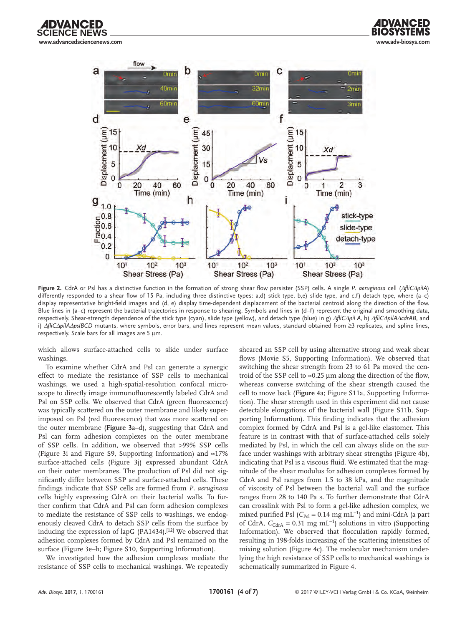





**Figure 2.** CdrA or Psl has a distinctive function in the formation of strong shear flow persister (SSP) cells. A single *P. aeruginosa* cell (∆*fliC*∆*pilA*) differently responded to a shear flow of 15 Pa, including three distinctive types: a,d) stick type, b,e) slide type, and c,f) detach type, where (a-c) display representative bright-field images and (d, e) display time-dependent displacement of the bacterial centroid along the direction of the flow. Blue lines in (a–c) represent the bacterial trajectories in response to shearing. Symbols and lines in (d–f) represent the original and smoothing data, respectively. Shear-strength dependence of the stick type (cyan), slide type (yellow), and detach type (blue) in g) ∆*fliC*∆*pil A*, h) ∆*fliC*∆*pilA*∆*cdrAB*, and i) ∆*fliC*∆*pilA*∆*pslBCD* mutants, where symbols, error bars, and lines represent mean values, standard obtained from ≥3 replicates, and spline lines, respectively. Scale bars for all images are 5 µm.

which allows surface-attached cells to slide under surface washings.

To examine whether CdrA and Psl can generate a synergic effect to mediate the resistance of SSP cells to mechanical washings, we used a high-spatial-resolution confocal microscope to directly image immunofluorescently labeled CdrA and Psl on SSP cells. We observed that CdrA (green fluorescence) was typically scattered on the outer membrane and likely superimposed on Psl (red fluorescence) that was more scattered on the outer membrane (**Figure 3**a–d), suggesting that CdrA and Psl can form adhesion complexes on the outer membrane of SSP cells. In addition, we observed that >99% SSP cells (Figure 3i and Figure S9, Supporting Information) and ≈17% surface-attached cells (Figure 3j) expressed abundant CdrA on their outer membranes. The production of Psl did not significantly differ between SSP and surface-attached cells. These findings indicate that SSP cells are formed from *P. aeruginosa* cells highly expressing CdrA on their bacterial walls. To further confirm that CdrA and Psl can form adhesion complexes to mediate the resistance of SSP cells to washings, we endogenously cleaved CdrA to detach SSP cells from the surface by inducing the expression of lapG (PA1434).<sup>[12]</sup> We observed that adhesion complexes formed by CdrA and Psl remained on the surface (Figure 3e–h; Figure S10, Supporting Information).

We investigated how the adhesion complexes mediate the resistance of SSP cells to mechanical washings. We repeatedly

sheared an SSP cell by using alternative strong and weak shear flows (Movie S5, Supporting Information). We observed that switching the shear strength from 23 to 61 Pa moved the centroid of the SSP cell to  $\approx 0.25$  µm along the direction of the flow, whereas converse switching of the shear strength caused the cell to move back (**Figure 4**a; Figure S11a, Supporting Information). The shear strength used in this experiment did not cause detectable elongations of the bacterial wall (Figure S11b, Supporting Information). This finding indicates that the adhesion complex formed by CdrA and Psl is a gel-like elastomer. This feature is in contrast with that of surface-attached cells solely mediated by Psl, in which the cell can always slide on the surface under washings with arbitrary shear strengths (Figure 4b), indicating that Psl is a viscous fluid. We estimated that the magnitude of the shear modulus for adhesion complexes formed by CdrA and Psl ranges from 1.5 to 38 kPa, and the magnitude of viscosity of Psl between the bacterial wall and the surface ranges from 28 to 140 Pa s. To further demonstrate that CdrA can crosslink with Psl to form a gel-like adhesion complex, we mixed purified Psl (C<sub>Psl</sub> = 0.14 mg mL<sup>-1</sup>) and mini-CdrA (a part of CdrA,  $C_{\text{CdrA}} = 0.31 \text{ mg } \text{mL}^{-1}$ ) solutions in vitro (Supporting Information). We observed that flocculation rapidly formed, resulting in 198-folds increasing of the scattering intensities of mixing solution (Figure 4c). The molecular mechanism underlying the high resistance of SSP cells to mechanical washings is schematically summarized in Figure 4.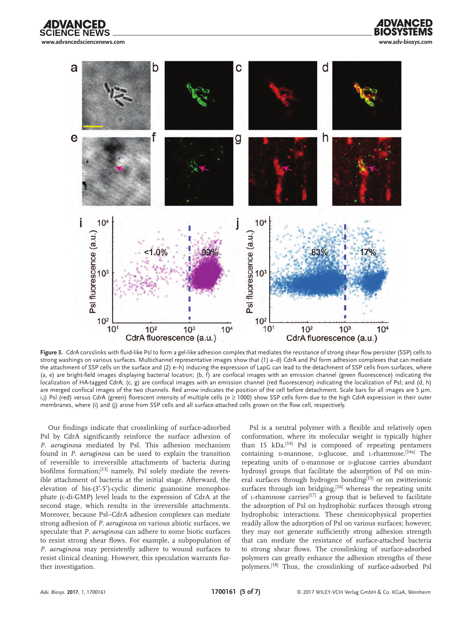**www.advancedsciencenews.com www.adv-biosys.com**





**Figure 3.** CdrA corsslinks with fluid-like Psl to form a gel-like adhesion complex that mediates the resistance of strong shear flow persister (SSP) cells to strong washings on various surfaces. Multichannel representative images show that (1) a–d) CdrA and Psl form adhesion complexes that can mediate the attachment of SSP cells on the surface and (2) e–h) inducing the expression of LapG can lead to the detachment of SSP cells from surfaces, where (a, e) are bright-field images displaying bacterial location; (b,  $\hat{f}$ ) are confocal images with an emission channel (green fluorescence) indicating the localization of HA-tagged CdrA; (c, g) are confocal images with an emission channel (red fluorescence) indicating the localization of Psl; and (d, h) are merged confocal images of the two channels. Red arrow indicates the position of the cell before detachment. Scale bars for all images are 5 µm. i,j) Psl (red) versus CdrA (green) florescent intensity of multiple cells (*n* ≥ 1000) show SSP cells form due to the high CdrA expression in their outer membranes, where (i) and (j) arose from SSP cells and all surface-attached cells grown on the flow cell, respectively.

Our findings indicate that crosslinking of surface-adsorbed Psl by CdrA significantly reinforce the surface adhesion of *P. aeruginosa* mediated by Psl. This adhesion mechanism found in *P. aeruginosa* can be used to explain the transition of reversible to irreversible attachments of bacteria during biofilms formation;<sup>[13]</sup> namely, Psl solely mediate the reversible attachment of bacteria at the initial stage. Afterward, the elevation of bis-(3′-5′)-cyclic dimeric guanosine monophosphate (c-di-GMP) level leads to the expression of CdrA at the second stage, which results in the irreversible attachments. Moreover, because Psl–CdrA adhesion complexes can mediate strong adhesion of *P. aeruginosa* on various abiotic surfaces, we speculate that *P. aeruginosa* can adhere to some biotic surfaces to resist strong shear flows. For example, a subpopulation of *P. aeruginosa* may persistently adhere to wound surfaces to resist clinical cleaning. However, this speculation warrants further investigation.

Psl is a neutral polymer with a flexible and relatively open conformation, where its molecular weight is typically higher than 15 kDa.<sup>[14]</sup> Psl is composed of repeating pentamers containing D-mannose, D-glucose, and L-rhamnose.<sup>[14a]</sup> The repeating units of p-mannose or p-glucose carries abundant hydroxyl groups that facilitate the adsorption of Psl on mineral surfaces through hydrogen bonding<sup>[15]</sup> or on zwitterionic surfaces through ion bridging,<sup>[16]</sup> whereas the repeating units of L-rhamnose carries<sup>[17]</sup> a group that is believed to facilitate the adsorption of Psl on hydrophobic surfaces through strong hydrophobic interactions. These chemicophysical properties readily allow the adsorption of Psl on various surfaces; however, they may not generate sufficiently strong adhesion strength that can mediate the resistance of surface-attached bacteria to strong shear flows. The crosslinking of surface-adsorbed polymers can greatly enhance the adhesion strengths of these polymers.[18] Thus, the crosslinking of surface-adsorbed Psl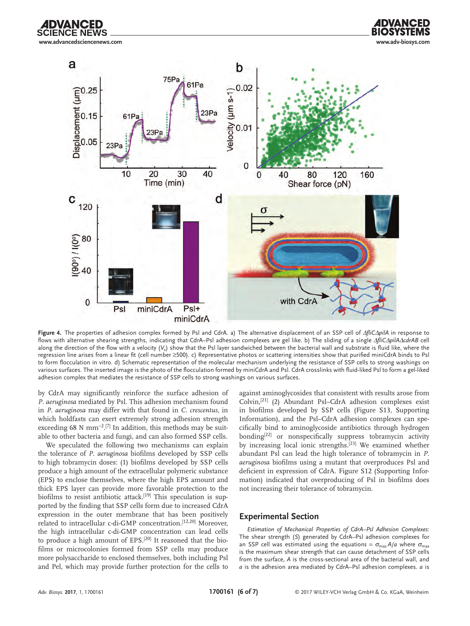



**Figure 4.** The properties of adhesion complex formed by Psl and CdrA. a) The alternative displacement of an SSP cell of ∆*fliC*∆*pilA* in response to flows with alternative shearing strengths, indicating that CdrA–Psl adhesion complexes are gel like. b) The sliding of a single ∆*fliC*∆*pilA*∆*cdrAB* cell along the direction of the flow with a velocity (V<sub>s</sub>) show that the PsI layer sandwiched between the bacterial wall and substrate is fluid like, where the regression line arises from a linear fit (cell number ≥500). c) Representative photos or scattering intensities show that purified miniCdrA binds to Psl to form flocculation in vitro. d) Schematic representation of the molecular mechanism underlying the resistance of SSP cells to strong washings on various surfaces. The inserted image is the photo of the flocculation formed by miniCdrA and Psl. CdrA crosslinks with fluid-liked Psl to form a gel-liked adhesion complex that mediates the resistance of SSP cells to strong washings on various surfaces.

by CdrA may significantly reinforce the surface adhesion of *P. aeruginosa* mediated by Psl. This adhesion mechanism found in *P. aeruginosa* may differ with that found in *C. crescentus*, in which holdfasts can exert extremely strong adhesion strength exceeding 68 N mm<sup>-2</sup>.<sup>[7]</sup> In addition, this methods may be suitable to other bacteria and fungi, and can also formed SSP cells.

We speculated the following two mechanisms can explain the tolerance of *P. aeruginosa* biofilms developed by SSP cells to high tobramycin doses: (1) biofilms developed by SSP cells produce a high amount of the extracellular polymeric substance (EPS) to enclose themselves, where the high EPS amount and thick EPS layer can provide more favorable protection to the biofilms to resist antibiotic attack.<sup>[19]</sup> This speculation is supported by the finding that SSP cells form due to increased CdrA expression in the outer membrane that has been positively related to intracellular c-di-GMP concentration.<sup>[12,20]</sup> Moreover, the high intracellular c-di-GMP concentration can lead cells to produce a high amount of EPS.[20] It reasoned that the biofilms or microcolonies formed from SSP cells may produce more polysaccharide to enclosed themselves, both including Psl and Pel, which may provide further protection for the cells to against aminoglycosides that consistent with results arose from Colvin,[21] (2) Abundant Psl–CdrA adhesion complexes exist in biofilms developed by SSP cells (Figure S13, Supporting Information), and the Psl–CdrA adhesion complexes can specifically bind to aminoglycoside antibiotics through hydrogen bonding<sup>[22]</sup> or nonspecifically suppress tobramycin activity by increasing local ionic strengths.[23] We examined whether abundant Psl can lead the high tolerance of tobramycin in *P. aeruginosa* biofilms using a mutant that overproduces Psl and deficient in expression of CdrA. Figure S12 (Supporting Information) indicated that overproducing of Psl in biofilms does not increasing their tolerance of tobramycin.

### **Experimental Section**

*Estimation of Mechanical Properties of CdrA–Psl Adhesion Complexes*: The shear strength (*S*) generated by CdrA–Psl adhesion complexes for an SSP cell was estimated using the equations =  $\sigma_{\text{max}} A/a$  where  $\sigma_{\text{max}}$ is the maximum shear strength that can cause detachment of SSP cells from the surface, *A* is the cross-sectional area of the bacterial wall, and *a* is the adhesion area mediated by CdrA–Psl adhesion complexes. *a* is